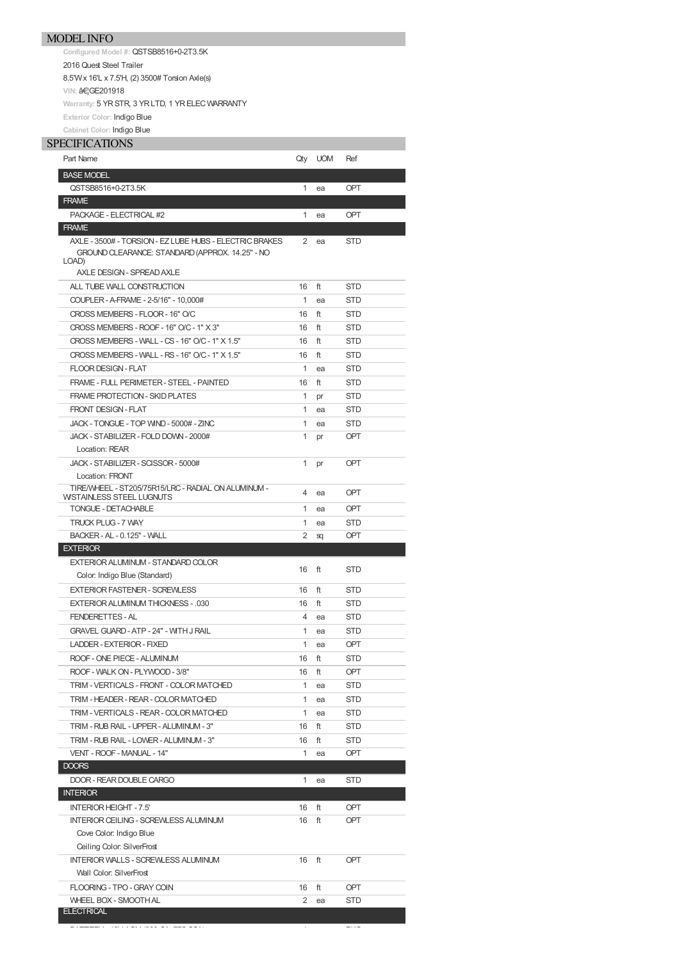**Configured Model #:** QSTSB8516+0-2T3.5K 2016 Quest Steel Trailer 8.5'Wx 16'L x 7.5'H, (2) 3500# Torsion Axle(s) **VIN: …GE201918 Warranty:** 5 YRSTR, 3 YRLTD, 1 YRELECWARRANTY **Exterior Color:** Indigo Blue **Cabinet Color:** Indigo Blue

## **SPECIFICATIONS**

| Part Name                                               | Qty            | <b>UOM</b> | Ref        |
|---------------------------------------------------------|----------------|------------|------------|
| <b>BASE MODEL</b>                                       |                |            |            |
| QSTSB8516+0-2T3.5K                                      | 1              | ea         | <b>OPT</b> |
| <b>FRAME</b>                                            |                |            |            |
| PACKAGE - ELECTRICAL #2                                 | $\mathbf{1}$   | ea         | OPT        |
| <b>FRAME</b>                                            |                |            |            |
| AXLE - 3500# - TORSION - EZ LUBE HUBS - ELECTRIC BRAKES | $\overline{2}$ | ea         | <b>STD</b> |
| GROUND CLEARANCE: STANDARD (APPROX. 14.25" - NO         |                |            |            |
| LOAD)                                                   |                |            |            |
| AXLE DESIGN - SPREAD AXLE                               |                |            |            |
| ALL TUBE WALL CONSTRUCTION                              | 16             | ft         | <b>STD</b> |
| COUPLER - A-FRAME - 2-5/16" - 10.000#                   | $\mathbf{1}$   | ea         | <b>STD</b> |
| CROSS MEMBERS - FLOOR - 16" O/C                         | 16             | ft         | <b>STD</b> |
| CROSS MEMBERS - ROOF - 16" O/C - 1" X 3"                | 16             | ft         | <b>STD</b> |
| CROSS MEMBERS - WALL - CS - 16" O/C - 1" X 1.5"         | 16             | ft         | <b>STD</b> |
| CROSS MEMBERS - WALL - RS - 16" O/C - 1" X 1.5"         | 16             | ft         | <b>STD</b> |
| <b>FLOOR DESIGN - FLAT</b>                              | $\mathbf{1}$   | ea         | <b>STD</b> |
| FRAME - FULL PERIMETER - STEEL - PAINTED                | 16             | ft         | <b>STD</b> |
| FRAME PROTECTION - SKID PLATES                          | $\mathbf{1}$   | pr         | <b>STD</b> |
| <b>FRONT DESIGN - FLAT</b>                              | $\mathbf{1}$   | ea         | <b>STD</b> |
| JACK - TONGUE - TOP WIND - 5000# - ZINC                 | $\mathbf{1}$   | ea         | <b>STD</b> |
| JACK - STABILIZER - FOLD DOWN - 2000#                   | 1              | pr         | <b>OPT</b> |
| Location: REAR                                          |                |            |            |
| JACK - STABILIZER - SCISSOR - 5000#                     | 1              | pr         | <b>OPT</b> |
| Location: FRONT                                         |                |            |            |
| TIRE/WHEEL - ST205/75R15/LRC - RADIAL ON ALUMINUM -     | 4              | ea         | <b>OPT</b> |
| WISTAINLESS STEEL LUGNUTS                               |                |            |            |
| <b>TONGUE - DETACHABLE</b>                              | $\mathbf{1}$   | ea         | OPT        |
| <b>TRUCK PLUG - 7 WAY</b>                               | $\mathbf{1}$   | ea         | <b>STD</b> |
| BACKER - AL - 0.125" - WALL                             |                |            |            |
|                                                         | 2              | sq         | OPT        |
| <b>EXTERIOR</b>                                         |                |            |            |
| EXTERIOR ALUMINUM - STANDARD COLOR                      | 16             | ft         | <b>STD</b> |
| Color: Indigo Blue (Standard)                           |                |            |            |
| <b>EXTERIOR FASTENER - SCREWLESS</b>                    | 16             | ft         | <b>STD</b> |
| EXTERIOR ALUMINUM THICKNESS - .030                      | 16             | ft         | <b>STD</b> |
| <b>FENDERETTES-AL</b>                                   | 4              | ea         | <b>STD</b> |
| <b>GRAVEL GUARD - ATP - 24" - WITH J RAIL</b>           | $\mathbf{1}$   | ea         | <b>STD</b> |
| LADDER - EXTERIOR - FIXED                               | 1              | ea         | <b>OPT</b> |
| ROOF - ONE PIECE - ALUMINUM                             | 16             | ft         | <b>STD</b> |
| ROOF - WALK ON - PLYWOOD - 3/8"                         | 16             | ft         | OPT        |
| TRIM - VERTICALS - FRONT - COLOR MATCHED                | $\mathbf{1}$   | ea         | STD        |
| TRIM - HEADER - REAR - COLOR MATCHED                    | $\mathbf{1}$   | ea         | STD        |
| TRIM - VERTICALS - REAR - COLOR MATCHED                 | 1              | ea         | STD        |
| TRIM - RUB RAIL - UPPER - ALUMINUM - 3"                 | 16             | ft         | STD        |
| TRIM - RUB RAIL - LOWER - ALUMINUM - 3"                 | 16             | ft         | STD        |
| VENT - ROOF - MANUAL - 14"                              | 1              | ea         | <b>OPT</b> |
| <b>DOORS</b>                                            |                |            |            |
| DOOR - REAR DOUBLE CARGO                                | 1              | ea         | STD        |
| <b>INTERIOR</b>                                         |                |            |            |
| <b>INTERIOR HEIGHT - 7.5'</b>                           | 16             | ft         | OPT        |
| INTERIOR CEILING - SCREWLESS ALUMINUM                   | 16             | ft         | <b>OPT</b> |
| Cove Color: Indigo Blue                                 |                |            |            |
| Ceiling Color: SilverFrost                              |                |            |            |
|                                                         |                |            |            |
| <b>INTERIOR WALLS - SCREWLESS ALUMINUM</b>              | 16             | ft         | <b>OPT</b> |
| Wall Color: SilverFrost                                 |                |            |            |
| FLOORING - TPO - GRAY COIN                              | 16             | ft         | <b>OPT</b> |
| <b>WHEEL BOX - SMOOTH AL</b><br><b>ELECTRICAL</b>       | 2              | ea         | STD        |